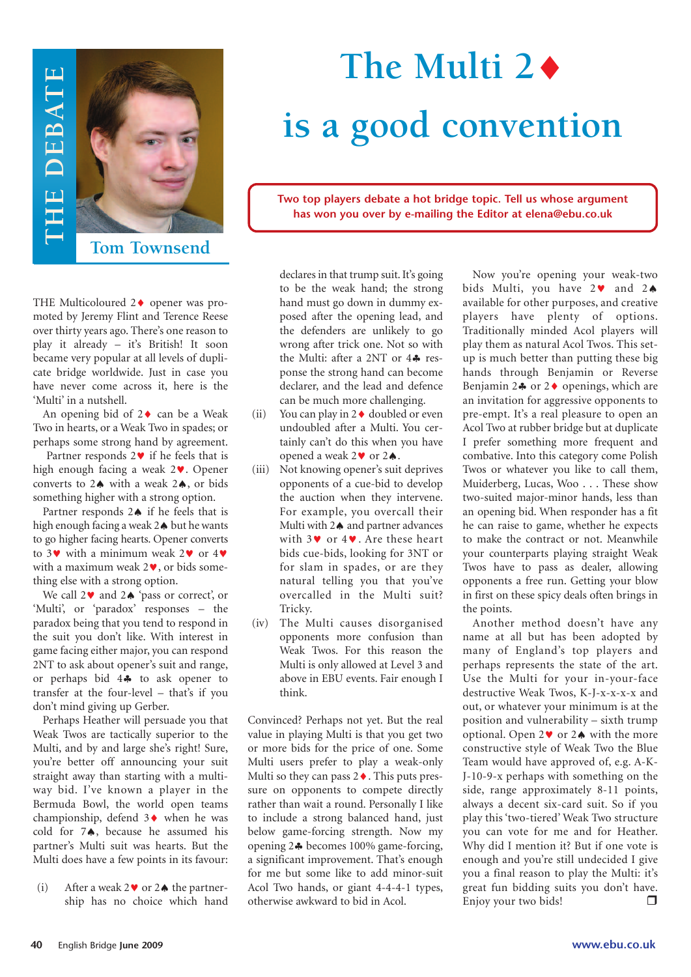

## **The Multi 2**♦ **is a good convention**

**Two top players debate a hot bridge topic. Tell us whose argument has won you over by e-mailing the Editor at elena@ebu.co.uk**

THE Multicoloured 2♦ opener was promoted by Jeremy Flint and Terence Reese over thirty years ago. There's one reason to play it already – it's British! It soon became very popular at all levels of duplicate bridge worldwide. Just in case you have never come across it, here is the 'Multi' in a nutshell.

An opening bid of  $2 \triangleleft$  can be a Weak Two in hearts, or a Weak Two in spades; or perhaps some strong hand by agreement.

Partner responds  $2 \cdot \cdot$  if he feels that is high enough facing a weak 2♥. Opener converts to 2♠ with a weak 2♠, or bids something higher with a strong option.

Partner responds 2♠ if he feels that is high enough facing a weak 2♠ but he wants to go higher facing hearts. Opener converts to 3♥ with a minimum weak 2♥ or 4♥ with a maximum weak 2♥, or bids something else with a strong option.

We call 2♥ and 2♠ 'pass or correct', or 'Multi', or 'paradox' responses – the paradox being that you tend to respond in the suit you don't like. With interest in game facing either major, you can respond 2NT to ask about opener's suit and range, or perhaps bid 4♣ to ask opener to transfer at the four-level – that's if you don't mind giving up Gerber.

Perhaps Heather will persuade you that Weak Twos are tactically superior to the Multi, and by and large she's right! Sure, you're better off announcing your suit straight away than starting with a multiway bid. I've known a player in the Bermuda Bowl, the world open teams championship, defend 3♦ when he was cold for 7♠, because he assumed his partner's Multi suit was hearts. But the Multi does have a few points in its favour:

(i) After a weak  $2 \vee$  or  $2 \triangleleft$  the partnership has no choice which hand declares in that trump suit.It's going to be the weak hand; the strong hand must go down in dummy exposed after the opening lead, and the defenders are unlikely to go wrong after trick one. Not so with the Multi: after a 2NT or 4♣ response the strong hand can become declarer, and the lead and defence can be much more challenging.

- (ii) You can play in  $2 \triangleleft$  doubled or even undoubled after a Multi. You certainly can't do this when you have opened a weak 2♥ or 2♠.
- (iii) Not knowing opener's suit deprives opponents of a cue-bid to develop the auction when they intervene. For example, you overcall their Multi with 2♠ and partner advances with 3♥ or 4♥. Are these heart bids cue-bids, looking for 3NT or for slam in spades, or are they natural telling you that you've overcalled in the Multi suit? Tricky.
- (iv) The Multi causes disorganised opponents more confusion than Weak Twos. For this reason the Multi is only allowed at Level 3 and above in EBU events. Fair enough I think.

Convinced? Perhaps not yet. But the real value in playing Multi is that you get two or more bids for the price of one. Some Multi users prefer to play a weak-only Multi so they can pass 2♦. This puts pressure on opponents to compete directly rather than wait a round. Personally I like to include a strong balanced hand, just below game-forcing strength. Now my opening 2♣ becomes 100% game-forcing, a significant improvement. That's enough for me but some like to add minor-suit Acol Two hands, or giant 4-4-4-1 types, otherwise awkward to bid in Acol.

Now you're opening your weak-two bids Multi, you have 2♥ and 2♠ available for other purposes, and creative players have plenty of options. Traditionally minded Acol players will play them as natural Acol Twos. This setup is much better than putting these big hands through Benjamin or Reverse Benjamin 2 $\clubsuit$  or 2 $\lozenge$  openings, which are an invitation for aggressive opponents to pre-empt. It's a real pleasure to open an Acol Two at rubber bridge but at duplicate I prefer something more frequent and combative. Into this category come Polish Twos or whatever you like to call them, Muiderberg, Lucas, Woo . . . These show two-suited major-minor hands, less than an opening bid. When responder has a fit he can raise to game, whether he expects to make the contract or not. Meanwhile your counterparts playing straight Weak Twos have to pass as dealer, allowing opponents a free run. Getting your blow in first on these spicy deals often brings in the points.

Another method doesn't have any name at all but has been adopted by many of England's top players and perhaps represents the state of the art. Use the Multi for your in-your-face destructive Weak Twos, K-J-x-x-x-x and out, or whatever your minimum is at the position and vulnerability – sixth trump optional. Open 2♥ or 2♠ with the more constructive style of Weak Two the Blue Team would have approved of, e.g. A-K-J-10-9-x perhaps with something on the side, range approximately 8-11 points, always a decent six-card suit. So if you play this 'two-tiered' Weak Two structure you can vote for me and for Heather. Why did I mention it? But if one vote is enough and you're still undecided I give you a final reason to play the Multi: it's great fun bidding suits you don't have. Enjoy your two bids!